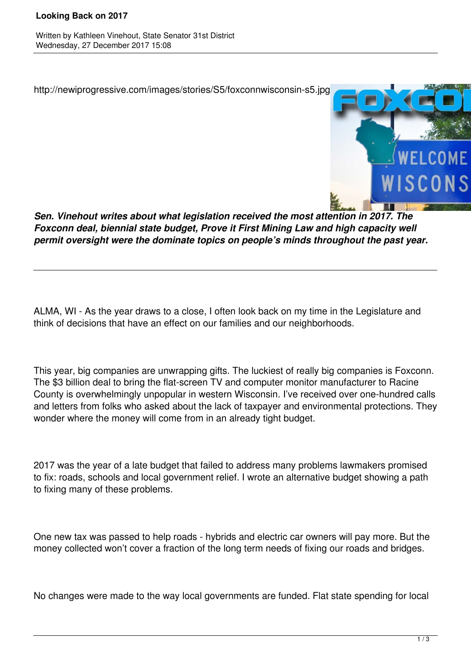## **Looking Back on 2017**

Written by Kathleen Vinehout, State Senator 31st District Wednesday, 27 December 2017 15:08

http://newiprogressive.com/images/stories/S5/foxconnwisconsin-s5.jpg



*Sen. Vinehout writes about what legislation received the most attention in 2017. The Foxconn deal, biennial state budget, Prove it First Mining Law and high capacity well permit oversight were the dominate topics on people's minds throughout the past year.*

ALMA, WI - As the year draws to a close, I often look back on my time in the Legislature and think of decisions that have an effect on our families and our neighborhoods.

This year, big companies are unwrapping gifts. The luckiest of really big companies is Foxconn. The \$3 billion deal to bring the flat-screen TV and computer monitor manufacturer to Racine County is overwhelmingly unpopular in western Wisconsin. I've received over one-hundred calls and letters from folks who asked about the lack of taxpayer and environmental protections. They wonder where the money will come from in an already tight budget.

2017 was the year of a late budget that failed to address many problems lawmakers promised to fix: roads, schools and local government relief. I wrote an alternative budget showing a path to fixing many of these problems.

One new tax was passed to help roads - hybrids and electric car owners will pay more. But the money collected won't cover a fraction of the long term needs of fixing our roads and bridges.

No changes were made to the way local governments are funded. Flat state spending for local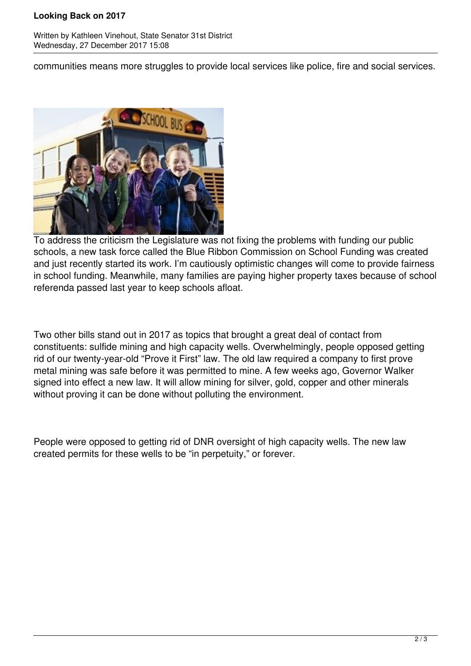## **Looking Back on 2017**

Written by Kathleen Vinehout, State Senator 31st District Wednesday, 27 December 2017 15:08

communities means more struggles to provide local services like police, fire and social services.



To address the criticism the Legislature was not fixing the problems with funding our public schools, a new task force called the Blue Ribbon Commission on School Funding was created and just recently started its work. I'm cautiously optimistic changes will come to provide fairness in school funding. Meanwhile, many families are paying higher property taxes because of school referenda passed last year to keep schools afloat.

Two other bills stand out in 2017 as topics that brought a great deal of contact from constituents: sulfide mining and high capacity wells. Overwhelmingly, people opposed getting rid of our twenty-year-old "Prove it First" law. The old law required a company to first prove metal mining was safe before it was permitted to mine. A few weeks ago, Governor Walker signed into effect a new law. It will allow mining for silver, gold, copper and other minerals without proving it can be done without polluting the environment.

People were opposed to getting rid of DNR oversight of high capacity wells. The new law created permits for these wells to be "in perpetuity," or forever.